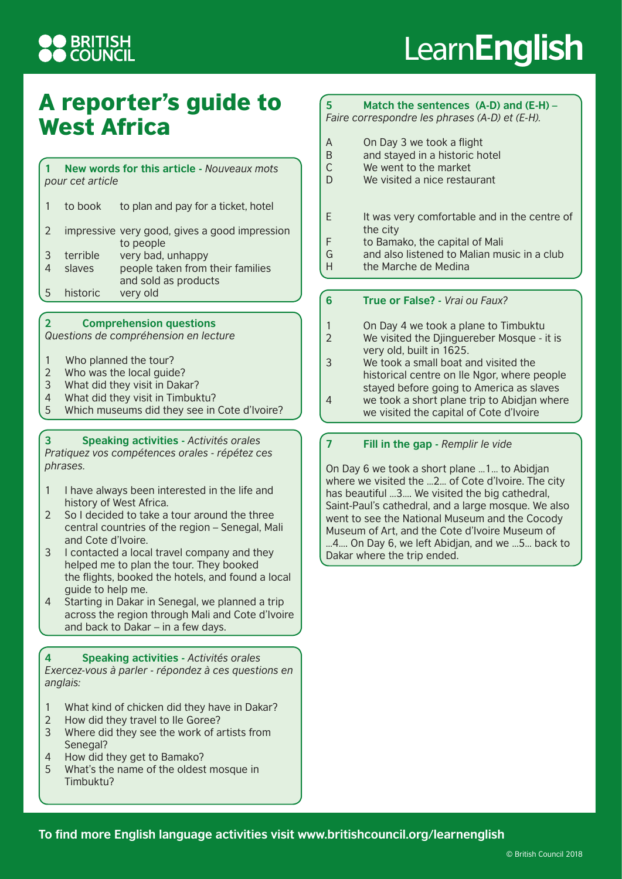## **DERITISH<br>DCOUNCIL**

# Learn**English**

### A reporter's guide to West Africa

**1 New words for this article -** *Nouveaux mots pour cet article*

|    | to book  | to plan and pay for a ticket, hotel                        |
|----|----------|------------------------------------------------------------|
|    |          | impressive very good, gives a good impression<br>to people |
| 3  | terrible | very bad, unhappy                                          |
| 4  | slaves   | people taken from their families<br>and sold as products   |
| -5 | historic | very old                                                   |

#### **2 Comprehension questions**

*Questions de compréhension en lecture*

- 1 Who planned the tour?
- 2 Who was the local guide?
- 3 What did they visit in Dakar?<br>4 What did they visit in Timbuk
- What did they visit in Timbuktu?
- 5 Which museums did they see in Cote d'Ivoire?

#### **3 Speaking activities -** *Activités orales*

*Pratiquez vos compétences orales - répétez ces phrases.*

- 1 I have always been interested in the life and history of West Africa.
- 2 So I decided to take a tour around the three central countries of the region – Senegal, Mali and Cote d'Ivoire.
- 3 I contacted a local travel company and they helped me to plan the tour. They booked the flights, booked the hotels, and found a local guide to help me.
- 4 Starting in Dakar in Senegal, we planned a trip across the region through Mali and Cote d'Ivoire and back to Dakar – in a few days.

#### **4 Speaking activities -** *Activités orales*

*Exercez-vous à parler - répondez à ces questions en anglais:*

- 1 What kind of chicken did they have in Dakar?
- 2 How did they travel to Ile Goree?
- 3 Where did they see the work of artists from Senegal?
- 4 How did they get to Bamako?
- 5 What's the name of the oldest mosque in Timbuktu?

#### **5 Match the sentences (A-D) and (E-H) –** *Faire correspondre les phrases (A-D) et (E-H).*

- A On Day 3 we took a flight<br>B and stayed in a historic he
- and stayed in a historic hotel
- C We went to the market
- D We visited a nice restaurant
- E It was very comfortable and in the centre of the city
- F to Bamako, the capital of Mali
- G and also listened to Malian music in a club
- H the Marche de Medina

#### **6 True or False? -** *Vrai ou Faux?*

- 1 On Day 4 we took a plane to Timbuktu
- 2 We visited the Djinguereber Mosque it is very old, built in 1625.
- 3 We took a small boat and visited the historical centre on Ile Ngor, where people stayed before going to America as slaves
- 4 we took a short plane trip to Abidjan where we visited the capital of Cote d'Ivoire
- **7 Fill in the gap** *Remplir le vide*

On Day 6 we took a short plane …1… to Abidjan where we visited the …2… of Cote d'Ivoire. The city has beautiful …3…. We visited the big cathedral, Saint-Paul's cathedral, and a large mosque. We also went to see the National Museum and the Cocody Museum of Art, and the Cote d'Ivoire Museum of …4…. On Day 6, we left Abidjan, and we …5… back to Dakar where the trip ended.

**To find more English language activities visit www.britishcouncil.org/learnenglish**